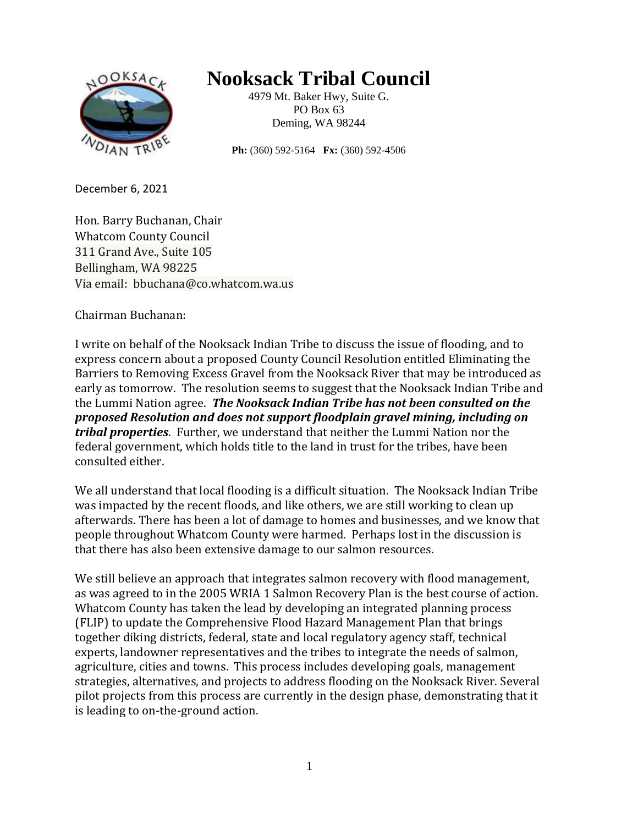

## **Nooksack Tribal Council**

4979 Mt. Baker Hwy, Suite G. PO Box 63 Deming, WA 98244

**Ph:** (360) 592-5164 **Fx:** (360) 592-4506

December 6, 2021

Hon. Barry Buchanan, Chair Whatcom County Council 311 Grand Ave., Suite 105 Bellingham, WA 98225 Via email: bbuchana@co.whatcom.wa.us

Chairman Buchanan:

I write on behalf of the Nooksack Indian Tribe to discuss the issue of flooding, and to express concern about a proposed County Council Resolution entitled Eliminating the Barriers to Removing Excess Gravel from the Nooksack River that may be introduced as early as tomorrow. The resolution seems to suggest that the Nooksack Indian Tribe and the Lummi Nation agree. *The Nooksack Indian Tribe has not been consulted on the proposed Resolution and does not support floodplain gravel mining, including on tribal properties*. Further, we understand that neither the Lummi Nation nor the federal government, which holds title to the land in trust for the tribes, have been consulted either.

We all understand that local flooding is a difficult situation. The Nooksack Indian Tribe was impacted by the recent floods, and like others, we are still working to clean up afterwards. There has been a lot of damage to homes and businesses, and we know that people throughout Whatcom County were harmed. Perhaps lost in the discussion is that there has also been extensive damage to our salmon resources.

We still believe an approach that integrates salmon recovery with flood management, as was agreed to in the 2005 WRIA 1 Salmon Recovery Plan is the best course of action. Whatcom County has taken the lead by developing an integrated planning process (FLIP) to update the Comprehensive Flood Hazard Management Plan that brings together diking districts, federal, state and local regulatory agency staff, technical experts, landowner representatives and the tribes to integrate the needs of salmon, agriculture, cities and towns. This process includes developing goals, management strategies, alternatives, and projects to address flooding on the Nooksack River. Several pilot projects from this process are currently in the design phase, demonstrating that it is leading to on-the-ground action.